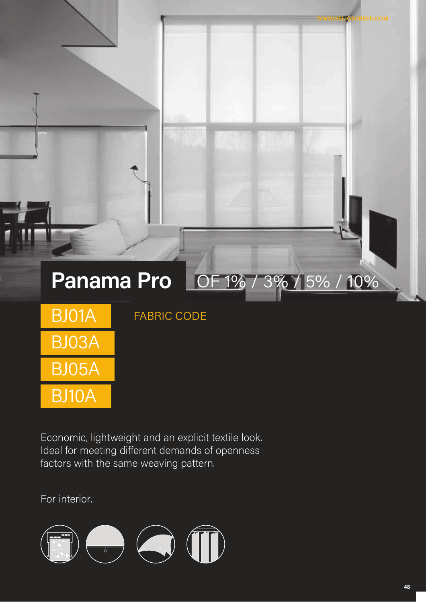# Panama Pro OF 1% / 3% / 5% / 10%

| BJ01A |
|-------|
| BJ03A |
| BI05A |
| BJ10A |

FABRIC CODE

Economic, lightweight and an explicit textile look. Ideal for meeting different demands of openness factors with the same weaving pattern.

For interior.

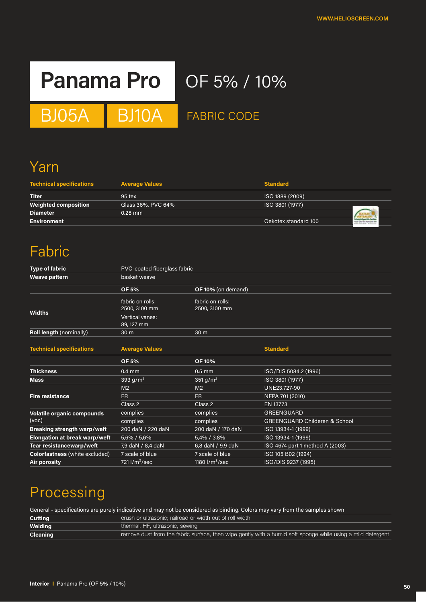# **Panama Pro** OF 5% / 10%

BJ05A BJ10A FABRIC CODE

# Yarn

| <b>Technical specifications</b> | <b>Average Values</b> | <b>Standard</b>      |  |
|---------------------------------|-----------------------|----------------------|--|
| <b>Titer</b>                    | $95$ tex              | ISO 1889 (2009)      |  |
| <b>Weighted composition</b>     | Glass 36%, PVC 64%    | ISO 3801 (1977)      |  |
| <b>Diameter</b>                 | $0.28$ mm             |                      |  |
| <b>Environment</b>              |                       | Oekotex standard 100 |  |

# Fabric

| <b>Type of fabric</b>              | <b>PVC-coated fiberglass fabric</b>  |                                   |                                          |
|------------------------------------|--------------------------------------|-----------------------------------|------------------------------------------|
| Weave pattern                      | basket weave                         |                                   |                                          |
|                                    | <b>OF 5%</b>                         | OF 10% (on demand)                |                                          |
| Widths                             | fabric on rolls:<br>2500, 3100 mm    | fabric on rolls:<br>2500, 3100 mm |                                          |
|                                    | <b>Vertical vanes:</b><br>89, 127 mm |                                   |                                          |
| <b>Roll length (nominally)</b>     | 30 <sub>m</sub>                      | 30 m                              |                                          |
| <b>Technical specifications</b>    | <b>Average Values</b>                |                                   | <b>Standard</b>                          |
|                                    | <b>OF 5%</b>                         | <b>OF 10%</b>                     |                                          |
| <b>Thickness</b>                   | $0.4$ mm                             | $0.5$ mm                          | ISO/DIS 5084.2 (1996)                    |
| <b>Mass</b>                        | $393$ g/m <sup>2</sup>               | 351 g/m <sup>2</sup>              | ISO 3801 (1977)                          |
|                                    | M <sub>2</sub>                       | M <sub>2</sub>                    | UNE23.727-90                             |
| <b>Fire resistance</b>             | <b>FR</b>                            | FR.                               | NFPA 701 (2010)                          |
|                                    | Class 2                              | Class 2                           | EN 13773                                 |
| <b>Volatile organic compounds</b>  | complies                             | complies                          | <b>GREENGUARD</b>                        |
| (voc)                              | complies                             | complies                          | <b>GREENGUARD Childeren &amp; School</b> |
| <b>Breaking strength warp/weft</b> | 200 daN / 220 daN                    | 200 daN / 170 daN                 | ISO 13934-1 (1999)                       |
| Elongation at break warp/weft      | 5,6% / 5,6%                          | 5,4% / 3,8%                       | ISO 13934-1 (1999)                       |
| Tear resistancewarp/weft           | 7,9 daN / 8,4 daN                    | 6,8 daN / 9,9 daN                 | ISO 4674 part 1 method A (2003)          |
| Colorfastness (white excluded)     | 7 scale of blue                      | 7 scale of blue                   | ISO 105 B02 (1994)                       |
| Air porosity                       | $\sqrt{721}$ l/m <sup>2</sup> /sec   | 1180 $1/m^2/sec$                  | ISO/DIS 9237 (1995)                      |

# Processing

General - specifications are purely indicative and may not be considered as binding. Colors may vary from the samples shown

| Cutting         | crush or ultrasonic; railroad or width out of roll width                                                    |
|-----------------|-------------------------------------------------------------------------------------------------------------|
| Welding         | thermal, HF, ultrasonic, sewing                                                                             |
| <b>Cleaning</b> | remove dust from the fabric surface, then wipe gently with a humid soft sponge while using a mild detergent |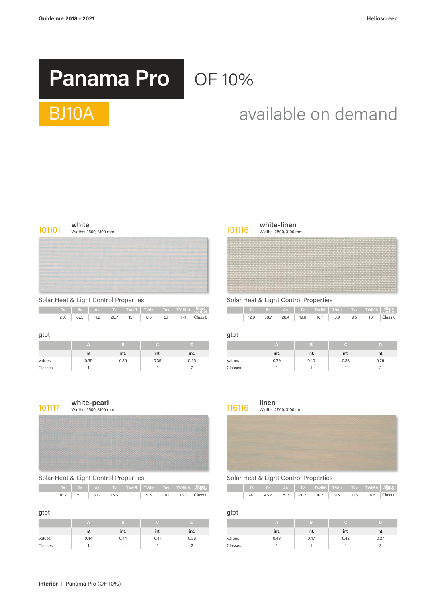# **Panama Pro** OF 10%

# $S = \text{S} \cup \text{S} \cup \text{S}$ BJ10A available on demand

| 101101 | white<br>Widths: 2500, 3100 mm | 101116 | white-linen<br>Widths: 2500, 3100 m |
|--------|--------------------------------|--------|-------------------------------------|
|        |                                |        |                                     |

|  |  |  |  |                                              | $\parallel$ Ts Rs As Tv TVdiff TVdir Tuv TVdif-h Glare |
|--|--|--|--|----------------------------------------------|--------------------------------------------------------|
|  |  |  |  | 21.6 67.2 11.2 20.7 12.1 8.6 9.1 171 Class 0 |                                                        |

## **g**tot **g**tot

projekty

|         | $\sim$<br>int. | ınt. | int. | int. |         | ınt. | int. | int. | int. |
|---------|----------------|------|------|------|---------|------|------|------|------|
| Values  | 0.35           | 0.36 | 0.35 | 0.25 | Values  | 0.39 | 0.40 | 0.38 | 0.26 |
| Classes |                |      |      |      | Classes |      |      |      |      |

# Solar Heat & Light Control Properties Solar Heat & Light Control Properties

Widths: 2500, 3100 mm Widths: 2500, 3100 mm

|      |      |      |      |                                 |  | Ts Rs As Tv TVdiff TVdir Tuv TVdif-h Glare |      |      | The Team of The Team of Team of Team of Team of Team of Team of Team of Team of Team of Team of Team of Team o |      |  |                           |  |
|------|------|------|------|---------------------------------|--|--------------------------------------------|------|------|----------------------------------------------------------------------------------------------------------------|------|--|---------------------------|--|
| 21.6 | 67.2 | 11.2 | 20.7 | $12.1$   $8.6$   $9.1$   $17.1$ |  | $\overline{C}$ Class 0                     | 12.9 | 58.7 | 28.4                                                                                                           | 19.6 |  | 10.7 8.9 9.5 16.1 Class 0 |  |

| A    |      |                      |      |         | <b><i>Fall</i></b> |                        |                      |      |
|------|------|----------------------|------|---------|--------------------|------------------------|----------------------|------|
| int. | int. | $\mathbf{r}$<br>int. | int. |         | int.               | $\blacksquare$<br>int. | $\mathbf{r}$<br>int. | int. |
| 0.35 | 0.36 | 0.35                 | 0.25 | Values  | 0.39               | 0.40                   | 0.38                 | 0.26 |
|      |      |                      |      | Classes |                    |                        |                      |      |



# Solar Heat & Light Control Properties Solar Heat & Light Control Properties

|  |  |                                               |  | Ts Rs As Tv TVdiff TVdir Tuv TVdif-h Glare |
|--|--|-----------------------------------------------|--|--------------------------------------------|
|  |  | 18.2 51.1 30.7 16.6 7.1 9.5 10.1 13.3 Class 0 |  |                                            |
|  |  |                                               |  |                                            |

|         | int. | ınt. | $\sim$<br>int. | int. |         | $\cdot$ $\cdot$<br>int. | int. | int. | int. |
|---------|------|------|----------------|------|---------|-------------------------|------|------|------|
| Values  | 0.44 | 0.44 | 0.41           | 0.26 | Values  | 0.48                    | 0.47 | 0.42 | 0.27 |
| Classes |      |      |                |      | Classes |                         |      |      |      |

## **101117 white-pearl incherified white-pearl** 116116 **linen**<br>116116 **linen** widths: 2500, 3100 mm **WITHET PEATT**<br>Widths: 2500, 3100 mm Widths: 2500, 3100 mm

|      | Rs -               | <b>As</b> |      | TVdiff   TVdir |     | Tuv - | $T$ TVdif-h |                         |                   | Rs.                                         | <b>As</b> | <b>TIME</b> | $\vert$ TVdiff $\vert$ TVdir $\vert$ Tuv $\vert$ TVdif-h $\vert$ Glare, |     |      |      | KONTROL |
|------|--------------------|-----------|------|----------------|-----|-------|-------------|-------------------------|-------------------|---------------------------------------------|-----------|-------------|-------------------------------------------------------------------------|-----|------|------|---------|
| 18.2 | 51.1<br>$- \cdots$ | 30.7      | 16.6 | $\overline{1}$ | 9.5 | 10.1  | 13.3        | Class <sub>0</sub><br>. | 24.1<br>$ \cdots$ | 46.2<br>the contract of the contract of the | 29.7      | 20.3        | 10.7                                                                    | 9.6 | 10.3 | 16.6 | Class 0 |

## **g**tot **g**tot

| TA.  |      |      |      |         |      |                        |      |      |
|------|------|------|------|---------|------|------------------------|------|------|
| int. | int. | int. | int. |         | int. | $\blacksquare$<br>int. | int. | int. |
| 0.44 | 0.44 | 0.41 | 0.26 | Values  | 0.48 | 0.47                   | 0.42 | 0.27 |
|      |      |      |      | Classes |      |                        |      |      |